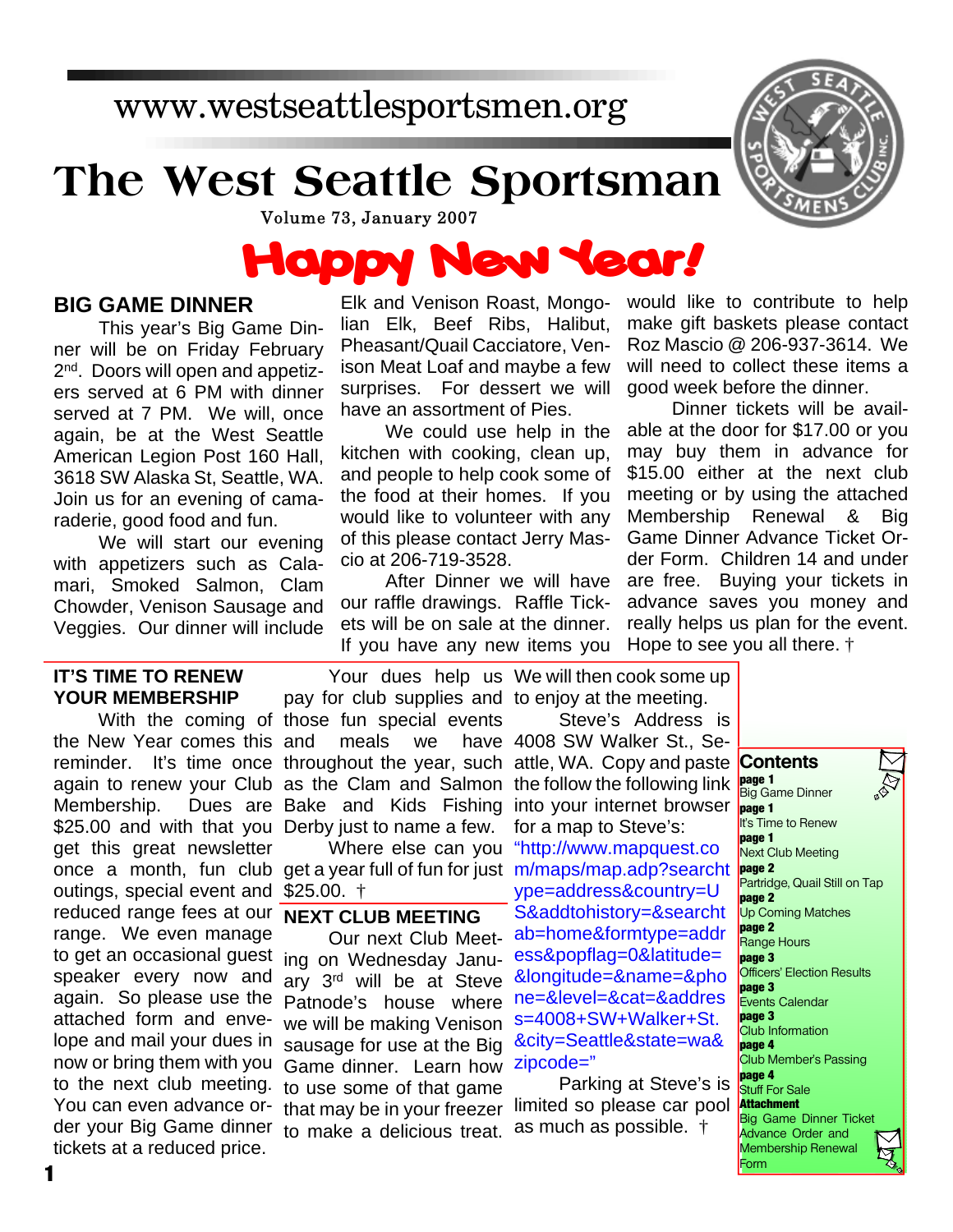# **The West Seattle Sportsman**



Volume 73, January 2007

### **Happy New Year!**

#### **BIG GAME DINNER**

This year's Big Game Dinner will be on Friday February 2<sup>nd</sup>. Doors will open and appetizers served at 6 PM with dinner served at 7 PM. We will, once again, be at the West Seattle American Legion Post 160 Hall, 3618 SW Alaska St, Seattle, WA. Join us for an evening of camaraderie, good food and fun.

We will start our evening with appetizers such as Calamari, Smoked Salmon, Clam Chowder, Venison Sausage and Veggies. Our dinner will include

#### **IT'S TIME TO RENEW YOUR MEMBERSHIP**

the New Year comes this Membership. \$25.00 and with that you Derby just to name a few. get this great newsletter once a month, fun club get a year full of fun for just m/maps/map.adp?searcht outings, special event and \$25.00. † reduced range fees at our range. We even manage to get an occasional guest ing on Wednesday Januspeaker every now and again. So please use the attached form and envelope and mail your dues in now or bring them with you to the next club meeting. You can even advance order your Big Game dinner tickets at a reduced price.

Elk and Venison Roast, Mongolian Elk, Beef Ribs, Halibut, Pheasant/Quail Cacciatore, Venison Meat Loaf and maybe a few surprises. For dessert we will have an assortment of Pies.

We could use help in the kitchen with cooking, clean up, and people to help cook some of the food at their homes. If you would like to volunteer with any of this please contact Jerry Mascio at 206-719-3528.

After Dinner we will have our raffle drawings. Raffle Tickets will be on sale at the dinner. If you have any new items you

would like to contribute to help make gift baskets please contact Roz Mascio @ 206-937-3614. We will need to collect these items a good week before the dinner.

Dinner tickets will be available at the door for \$17.00 or you may buy them in advance for \$15.00 either at the next club meeting or by using the attached Membership Renewal & Big Game Dinner Advance Ticket Order Form. Children 14 and under are free. Buying your tickets in advance saves you money and really helps us plan for the event. Hope to see you all there. †

With the coming of those fun special events reminder. It's time once throughout the year, such attle, WA. Copy and paste again to renew your Club as the Clam and Salmon the follow the following link pay for club supplies and to enjoy at the meeting. meals we Bake and Kids Fishing into your internet browser

#### **NEXT CLUB MEETING**

Our next Club Meetary 3rd will be at Steve Patnode's house where we will be making Venison sausage for use at the Big Game dinner. Learn how to use some of that game that may be in your freezer to make a delicious treat.

Your dues help us We will then cook some up

Where else can you "http://www.mapquest.co Steve's Address is have 4008 SW Walker St., Sefor a map to Steve's: ype=address&country=U S&addtohistory=&searcht ab=home&formtype=addr ess&popflag=0&latitude= &longitude=&name=&pho ne=&level=&cat=&addres s=4008+SW+Walker+St. &city=Seattle&state=wa& zipcode="

Parking at Steve's is limited so please car pool as much as possible. †

**Contents page 1** Big Game Dinner **page 1** It's Time to Renew **page 1** Next Club Meeting **page 2** Partridge, Quail Still on Tap **page 2** Up Coming Matches **page 2** Range Hours **page 3** Officers' Election Results **page 3** Events Calendar **page 3** Club Information **page 4** Club Member's Passing **page 4 Stuff For Sale Attachment** Big Game Dinner Ticket Advance Order and Membership Renewal Form

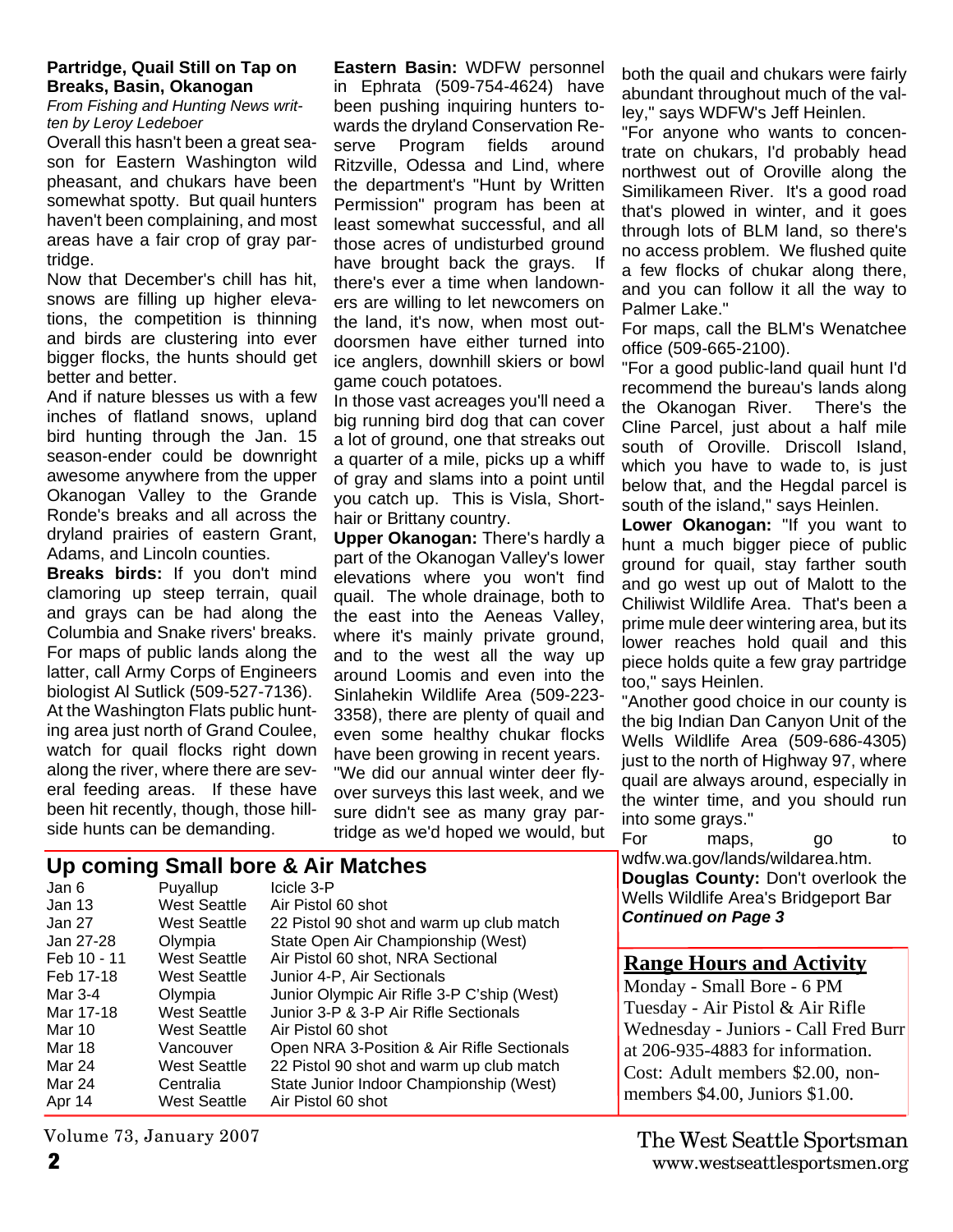#### **Partridge, Quail Still on Tap on Breaks, Basin, Okanogan**

*From Fishing and Hunting News written by Leroy Ledeboer*

Overall this hasn't been a great season for Eastern Washington wild pheasant, and chukars have been somewhat spotty. But quail hunters haven't been complaining, and most areas have a fair crop of gray partridge.

Now that December's chill has hit, snows are filling up higher elevations, the competition is thinning and birds are clustering into ever bigger flocks, the hunts should get better and better.

And if nature blesses us with a few inches of flatland snows, upland bird hunting through the Jan. 15 season-ender could be downright awesome anywhere from the upper Okanogan Valley to the Grande Ronde's breaks and all across the dryland prairies of eastern Grant, Adams, and Lincoln counties.

**Breaks birds:** If you don't mind clamoring up steep terrain, quail and grays can be had along the Columbia and Snake rivers' breaks. For maps of public lands along the latter, call Army Corps of Engineers biologist Al Sutlick (509-527-7136). At the Washington Flats public hunting area just north of Grand Coulee, watch for quail flocks right down along the river, where there are several feeding areas. If these have been hit recently, though, those hillside hunts can be demanding.

**Eastern Basin:** WDFW personnel in Ephrata (509-754-4624) have been pushing inquiring hunters towards the dryland Conservation Reserve Program fields around Ritzville, Odessa and Lind, where the department's "Hunt by Written Permission" program has been at least somewhat successful, and all those acres of undisturbed ground have brought back the grays. If there's ever a time when landowners are willing to let newcomers on the land, it's now, when most outdoorsmen have either turned into ice anglers, downhill skiers or bowl game couch potatoes.

In those vast acreages you'll need a big running bird dog that can cover a lot of ground, one that streaks out a quarter of a mile, picks up a whiff of gray and slams into a point until you catch up. This is Visla, Shorthair or Brittany country.

**Upper Okanogan:** There's hardly a part of the Okanogan Valley's lower elevations where you won't find quail. The whole drainage, both to the east into the Aeneas Valley, where it's mainly private ground, and to the west all the way up around Loomis and even into the Sinlahekin Wildlife Area (509-223- 3358), there are plenty of quail and even some healthy chukar flocks have been growing in recent years. "We did our annual winter deer flyover surveys this last week, and we sure didn't see as many gray partridge as we'd hoped we would, but both the quail and chukars were fairly abundant throughout much of the valley," says WDFW's Jeff Heinlen.

"For anyone who wants to concentrate on chukars, I'd probably head northwest out of Oroville along the Similikameen River. It's a good road that's plowed in winter, and it goes through lots of BLM land, so there's no access problem. We flushed quite a few flocks of chukar along there, and you can follow it all the way to Palmer Lake."

For maps, call the BLM's Wenatchee office (509-665-2100).

"For a good public-land quail hunt I'd recommend the bureau's lands along the Okanogan River. There's the Cline Parcel, just about a half mile south of Oroville. Driscoll Island, which you have to wade to, is just below that, and the Hegdal parcel is south of the island," says Heinlen.

**Lower Okanogan:** "If you want to hunt a much bigger piece of public ground for quail, stay farther south and go west up out of Malott to the Chiliwist Wildlife Area. That's been a prime mule deer wintering area, but its lower reaches hold quail and this piece holds quite a few gray partridge too," says Heinlen.

"Another good choice in our county is the big Indian Dan Canyon Unit of the Wells Wildlife Area (509-686-4305) just to the north of Highway 97, where quail are always around, especially in the winter time, and you should run into some grays."

For maps, go to wdfw.wa.gov/lands/wildarea.htm. **Douglas County:** Don't overlook the Wells Wildlife Area's Bridgeport Bar *Continued on Page 3*

#### **Range Hours and Activity**

Monday - Small Bore - 6 PM Tuesday - Air Pistol & Air Rifle Wednesday - Juniors - Call Fred Burr at 206-935-4883 for information. Cost: Adult members \$2.00, nonmembers \$4.00, Juniors \$1.00.

| Jan 6       | Puyallup            | Icicle 3-P                                 |
|-------------|---------------------|--------------------------------------------|
| Jan 13      | <b>West Seattle</b> | Air Pistol 60 shot                         |
| Jan 27      | West Seattle        | 22 Pistol 90 shot and warm up club match   |
| Jan 27-28   | Olympia             | State Open Air Championship (West)         |
| Feb 10 - 11 | <b>West Seattle</b> | Air Pistol 60 shot, NRA Sectional          |
| Feb 17-18   | West Seattle        | Junior 4-P, Air Sectionals                 |
| Mar 3-4     | Olympia             | Junior Olympic Air Rifle 3-P C'ship (West) |
| Mar 17-18   | <b>West Seattle</b> | Junior 3-P & 3-P Air Rifle Sectionals      |
| Mar 10      | West Seattle        | Air Pistol 60 shot                         |
| Mar 18      | Vancouver           | Open NRA 3-Position & Air Rifle Sectionals |
| Mar 24      | <b>West Seattle</b> | 22 Pistol 90 shot and warm up club match   |
| Mar 24      | Centralia           | State Junior Indoor Championship (West)    |
| Apr 14      | West Seattle        | Air Pistol 60 shot                         |
|             |                     |                                            |

Volume 73, January 2007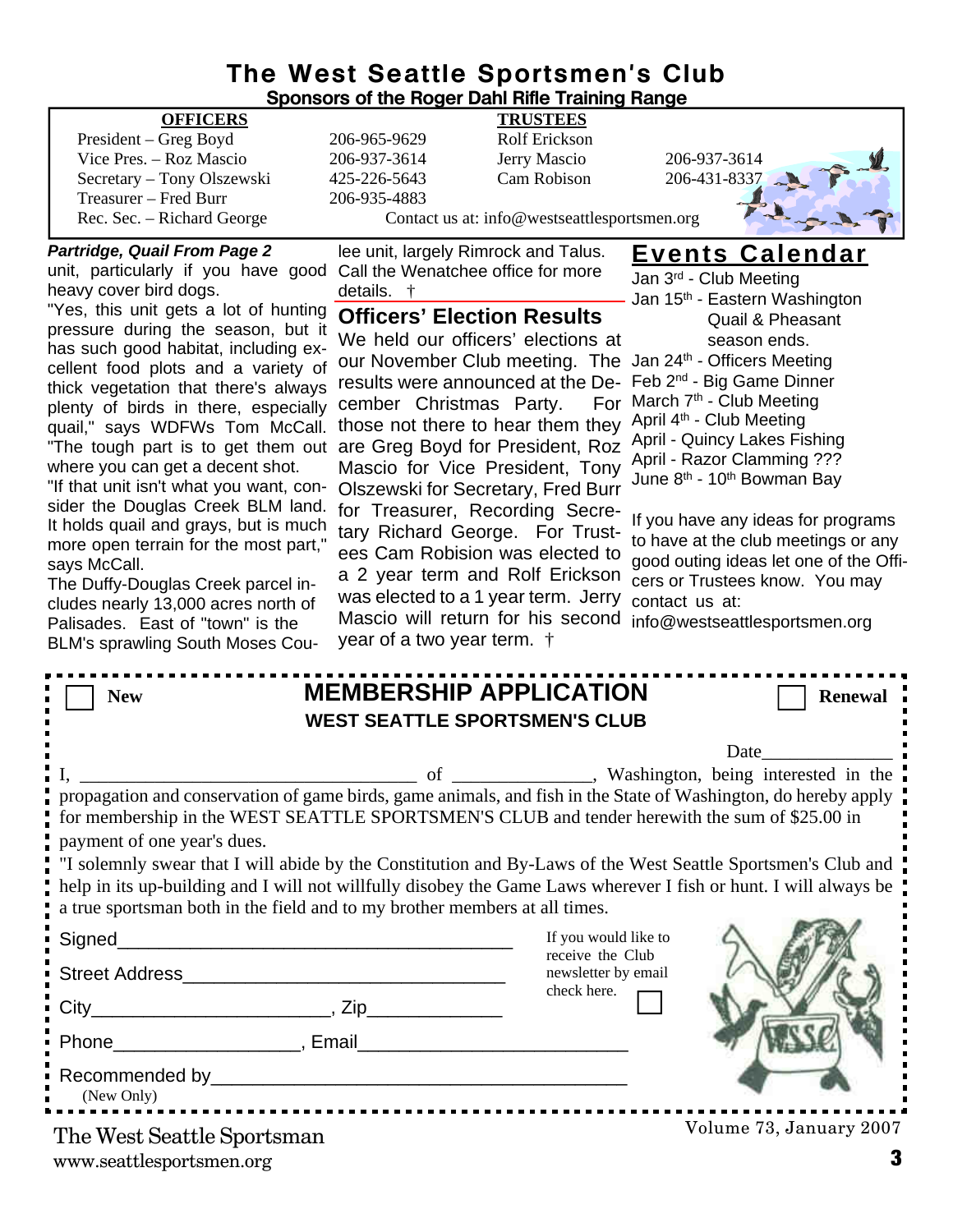## **The West Seattle Sportsmen's Club**

|                                                                                                                |                                    | <b>Sponsors of the Roger Dahl Rifle Training Range</b> |                                                                                                              |
|----------------------------------------------------------------------------------------------------------------|------------------------------------|--------------------------------------------------------|--------------------------------------------------------------------------------------------------------------|
| <b>OFFICERS</b>                                                                                                |                                    | <b>TRUSTEES</b>                                        |                                                                                                              |
| President – Greg Boyd                                                                                          | 206-965-9629                       | Rolf Erickson                                          |                                                                                                              |
| Vice Pres. - Roz Mascio                                                                                        | 206-937-3614                       | Jerry Mascio                                           | 206-937-3614                                                                                                 |
| Secretary - Tony Olszewski                                                                                     | 425-226-5643                       | Cam Robison                                            | 206-431-8337                                                                                                 |
| Treasurer - Fred Burr                                                                                          | 206-935-4883                       |                                                        |                                                                                                              |
| Rec. Sec. - Richard George                                                                                     |                                    | Contact us at: info@westseattlesportsmen.org           |                                                                                                              |
| <b>Partridge, Quail From Page 2</b>                                                                            |                                    | lee unit, largely Rimrock and Talus.                   | <b>Events Calendar</b>                                                                                       |
| unit, particularly if you have good                                                                            |                                    | Call the Wenatchee office for more                     | Jan 3rd - Club Meeting                                                                                       |
| heavy cover bird dogs.                                                                                         | details.                           |                                                        | Jan 15 <sup>th</sup> - Eastern Washington                                                                    |
| "Yes, this unit gets a lot of hunting                                                                          |                                    | <b>Officers' Election Results</b>                      | <b>Quail &amp; Pheasant</b>                                                                                  |
| pressure during the season, but it                                                                             |                                    | We held our officers' elections at                     | season ends.                                                                                                 |
| has such good habitat, including ex-                                                                           |                                    |                                                        | our November Club meeting. The Jan 24th - Officers Meeting                                                   |
| cellent food plots and a variety of                                                                            |                                    | results were announced at the De-                      | Feb 2 <sup>nd</sup> - Big Game Dinner                                                                        |
| thick vegetation that there's always<br>plenty of birds in there, especially                                   | cember Christmas Party.            | For                                                    | March 7 <sup>th</sup> - Club Meeting                                                                         |
| quail," says WDFWs Tom McCall.                                                                                 |                                    | those not there to hear them they                      | April 4 <sup>th</sup> - Club Meeting                                                                         |
| "The tough part is to get them out                                                                             |                                    | are Greg Boyd for President, Roz                       | April - Quincy Lakes Fishing                                                                                 |
| where you can get a decent shot.                                                                               |                                    | Mascio for Vice President, Tony                        | April - Razor Clamming ???                                                                                   |
| "If that unit isn't what you want, con-                                                                        |                                    |                                                        | June 8 <sup>th</sup> - 10 <sup>th</sup> Bowman Bay                                                           |
| sider the Douglas Creek BLM land.                                                                              |                                    | <b>Olszewski for Secretary, Fred Burr</b>              |                                                                                                              |
| It holds quail and grays, but is much                                                                          |                                    | for Treasurer, Recording Secre-                        | If you have any ideas for programs                                                                           |
| more open terrain for the most part,"                                                                          |                                    | tary Richard George. For Trust-                        | to have at the club meetings or any                                                                          |
| says McCall.                                                                                                   |                                    | ees Cam Robision was elected to                        | good outing ideas let one of the Offi-                                                                       |
| The Duffy-Douglas Creek parcel in-                                                                             |                                    | a 2 year term and Rolf Erickson                        | cers or Trustees know. You may                                                                               |
| cludes nearly 13,000 acres north of                                                                            |                                    | was elected to a 1 year term. Jerry                    | contact us at:                                                                                               |
| Palisades. East of "town" is the                                                                               |                                    | Mascio will return for his second                      | info@westseattlesportsmen.org                                                                                |
| <b>BLM's sprawling South Moses Cou-</b>                                                                        | year of a two year term. $\dagger$ |                                                        |                                                                                                              |
|                                                                                                                |                                    |                                                        |                                                                                                              |
| <b>New</b>                                                                                                     |                                    | <b>MEMBERSHIP APPLICATION</b>                          | <b>Renewal</b>                                                                                               |
|                                                                                                                |                                    | <b>WEST SEATTLE SPORTSMEN'S CLUB</b>                   |                                                                                                              |
|                                                                                                                |                                    |                                                        |                                                                                                              |
|                                                                                                                |                                    |                                                        | Date                                                                                                         |
|                                                                                                                | of                                 |                                                        | Washington, being interested in the                                                                          |
| propagation and conservation of game birds, game animals, and fish in the State of Washington, do hereby apply |                                    |                                                        |                                                                                                              |
| for membership in the WEST SEATTLE SPORTSMEN'S CLUB and tender herewith the sum of \$25.00 in                  |                                    |                                                        |                                                                                                              |
| payment of one year's dues.                                                                                    |                                    |                                                        |                                                                                                              |
|                                                                                                                |                                    |                                                        | "I solemnly swear that I will abide by the Constitution and By-Laws of the West Seattle Sportsmen's Club and |

help in its up-building and I will not willfully disobey the Game Laws wherever I fish or hunt. I will always be a true sportsman both in the field and to my brother members at all times.

| Signed_                                                         | If you would like to<br>receive the Club |                         |
|-----------------------------------------------------------------|------------------------------------------|-------------------------|
| Street Address                                                  | newsletter by email                      |                         |
|                                                                 | check here. $\blacksquare$               |                         |
| -<br>• Phone___________________                                 |                                          |                         |
| ■ Recommended by_________________________________<br>(New Only) |                                          |                         |
| The West Seattle Sportsman                                      |                                          | Volume 73, January 2007 |

www.seattlesportsmen.org **3**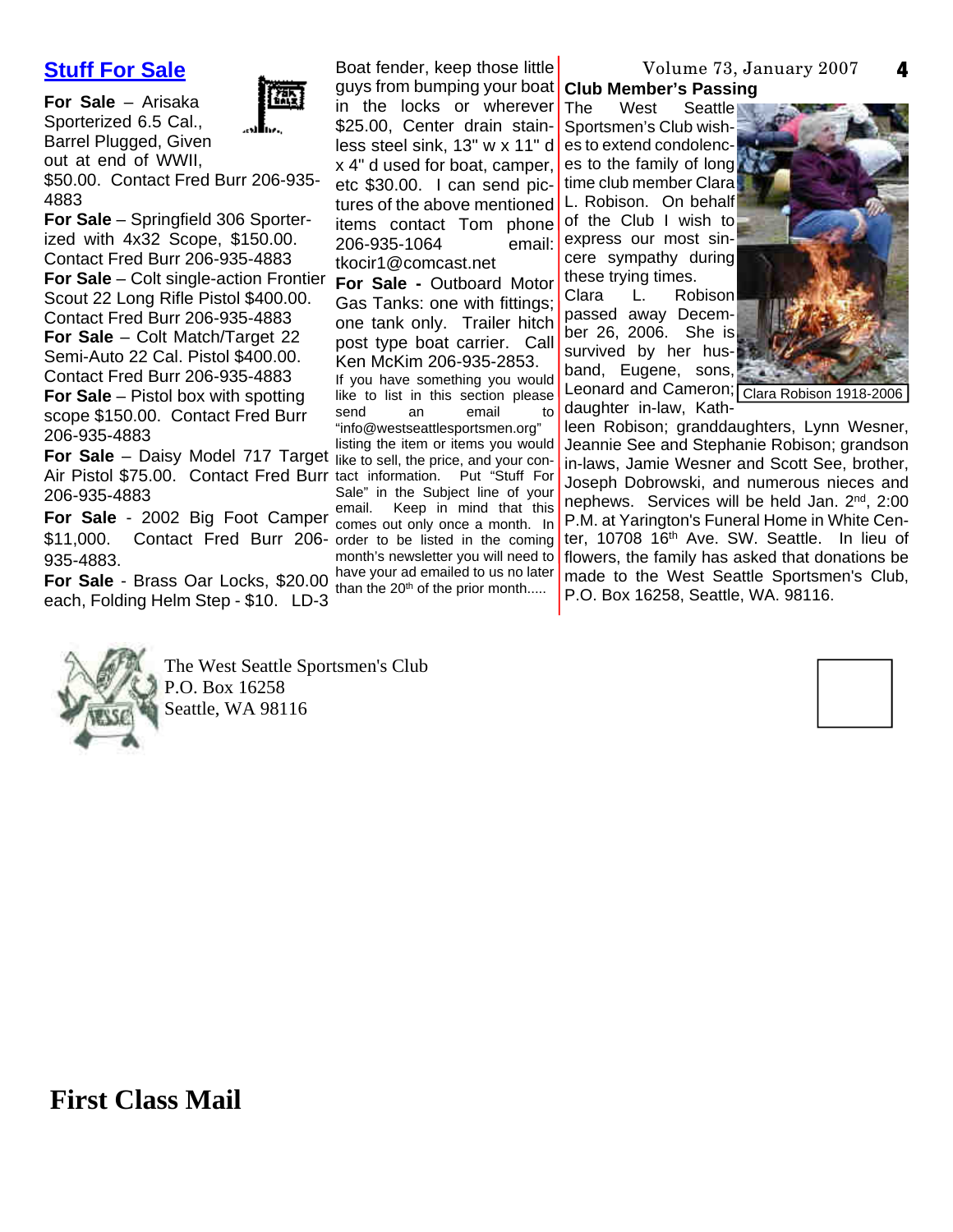#### **Stuff For Sale**

**For Sale** – Arisaka Sporterized 6.5 Cal., Barrel Plugged, Given out at end of WWII,



\$50.00. Contact Fred Burr 206-935- 4883

**For Sale** – Springfield 306 Sporterized with 4x32 Scope, \$150.00. Contact Fred Burr 206-935-4883 **For Sale** – Colt single-action Frontier Scout 22 Long Rifle Pistol \$400.00. Contact Fred Burr 206-935-4883 **For Sale** – Colt Match/Target 22 Semi-Auto 22 Cal. Pistol \$400.00. Contact Fred Burr 206-935-4883 **For Sale** – Pistol box with spotting

scope \$150.00. Contact Fred Burr 206-935-4883

**For Sale** – Daisy Model 717 Target like to sell, the price, and your con-Air Pistol \$75.00. Contact Fred Burr tact information. Put "Stuff For 206-935-4883

\$11,000. Contact Fred Burr 206- order to be listed in the coming 935-4883.

**For Sale** - Brass Oar Locks, \$20.00 each, Folding Helm Step - \$10. LD-3

**For Sale** - 2002 Big Foot Camper email. Keep in mind that this Boat fender, keep those little guys from bumping your boat **Club Member's Passing** in the locks or wherever The \$25.00, Center drain stainless steel sink, 13" w x 11" d es to extend condolencx 4" d used for boat, camper, etc \$30.00. I can send pictures of the above mentioned L. Robison. On behalf items contact Tom phone of the Club I wish to 206-935-1064 tkocir1@comcast.net **For Sale -** Outboard Motor Gas Tanks: one with fittings; one tank only. Trailer hitch post type boat carrier. Call Ken McKim 206-935-2853. If you have something you would like to list in this section please<br>send an email to an email to "info@westseattlesportsmen.org" listing the item or items you would Sale" in the Subject line of your comes out only once a month. In month's newsletter you will need to have your ad emailed to us no later than the 20<sup>th</sup> of the prior month.....

### Volume 73, January 2007

West Seattle Sportsmen's Club wishes to the family of long time club member Clara email: express our most sincere sympathy during these trying times.

Clara L. Robison passed away December 26, 2006. She is survived by her husband, Eugene, sons, Leonard and Cameron; Clara Robison 1918-2006daughter in-law, Kath-



**4**

leen Robison; granddaughters, Lynn Wesner, Jeannie See and Stephanie Robison; grandson in-laws, Jamie Wesner and Scott See, brother, Joseph Dobrowski, and numerous nieces and nephews. Services will be held Jan. 2<sup>nd</sup>, 2:00 P.M. at Yarington's Funeral Home in White Center, 10708 16th Ave. SW. Seattle. In lieu of flowers, the family has asked that donations be made to the West Seattle Sportsmen's Club, P.O. Box 16258, Seattle, WA. 98116.



The West Seattle Sportsmen's Club P.O. Box 16258 Seattle, WA 98116



**First Class Mail**